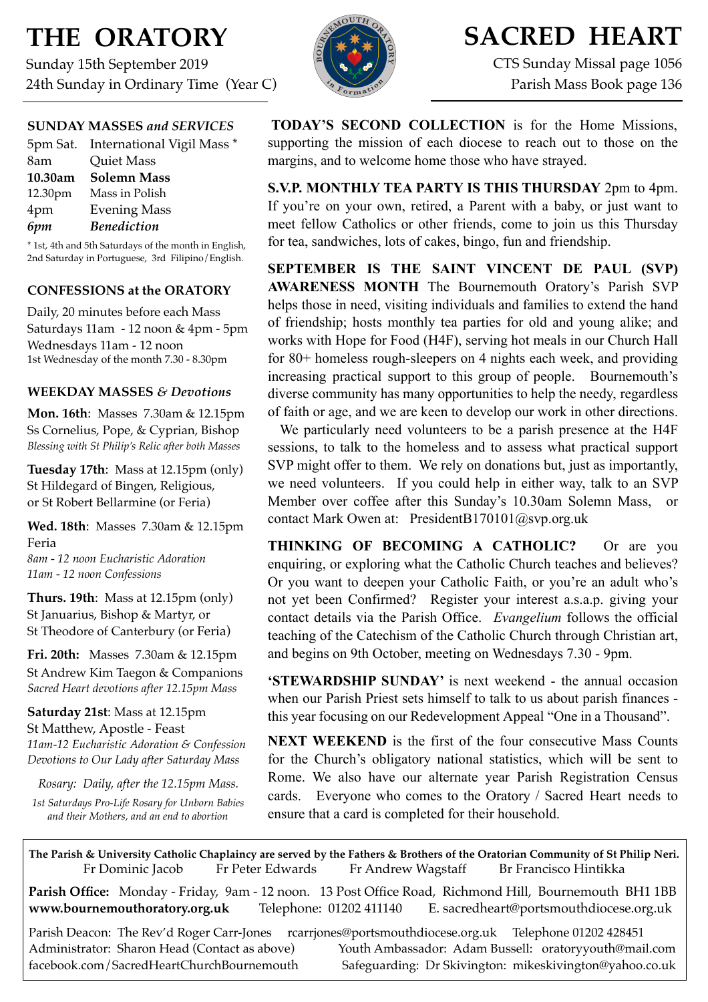# **THE ORATORY**

Sunday 15th September 2019 24th Sunday in Ordinary Time (Year C)

## **SUNDAY MASSES** *and SERVICES*

| 5pm Sat. International Vigil Mass * |
|-------------------------------------|
| Quiet Mass                          |
| <b>Solemn Mass</b>                  |
| Mass in Polish                      |
| <b>Evening Mass</b>                 |
| <b>Benediction</b>                  |
|                                     |

\* 1st, 4th and 5th Saturdays of the month in English, 2nd Saturday in Portuguese, 3rd Filipino/English.

## **CONFESSIONS at the ORATORY**

Daily, 20 minutes before each Mass Saturdays 11am - 12 noon & 4pm - 5pm Wednesdays 11am - 12 noon 1st Wednesday of the month 7.30 - 8.30pm

## **WEEKDAY MASSES** *& Devotions*

**Mon. 16th**: Masses 7.30am & 12.15pm Ss Cornelius, Pope, & Cyprian, Bishop *Blessing with St Philip's Relic after both Masses*

**Tuesday 17th**: Mass at 12.15pm (only) St Hildegard of Bingen, Religious, or St Robert Bellarmine (or Feria)

**Wed. 18th**: Masses7.30am & 12.15pm Feria *8am - 12 noon Eucharistic Adoration*

*11am - 12 noon Confessions*

**Thurs. 19th**: Mass at 12.15pm (only) St Januarius, Bishop & Martyr, or St Theodore of Canterbury (or Feria)

**Fri. 20th:** Masses 7.30am & 12.15pm St Andrew Kim Taegon & Companions *Sacred Heart devotions after 12.15pm Mass*

**Saturday 21st**: Mass at 12.15pm St Matthew, Apostle - Feast *11am-12 Eucharistic Adoration & Confession Devotions to Our Lady after Saturday Mass*

*Rosary: Daily, after the 12.15pm Mass. 1st Saturdays Pro-Life Rosary for Unborn Babies and their Mothers, and an end to abortion*



## **SACRED HEART**

CTS Sunday Missal page 1056 Parish Mass Book page 136

**TODAY'S SECOND COLLECTION** is for the Home Missions, supporting the mission of each diocese to reach out to those on the margins, and to welcome home those who have strayed.

**S.V.P. MONTHLY TEA PARTY IS THIS THURSDAY** 2pm to 4pm. If you're on your own, retired, a Parent with a baby, or just want to meet fellow Catholics or other friends, come to join us this Thursday for tea, sandwiches, lots of cakes, bingo, fun and friendship.

**SEPTEMBER IS THE SAINT VINCENT DE PAUL (SVP) AWARENESS MONTH** The Bournemouth Oratory's Parish SVP helps those in need, visiting individuals and families to extend the hand of friendship; hosts monthly tea parties for old and young alike; and works with Hope for Food (H4F), serving hot meals in our Church Hall for 80+ homeless rough-sleepers on 4 nights each week, and providing increasing practical support to this group of people. Bournemouth's diverse community has many opportunities to help the needy, regardless of faith or age, and we are keen to develop our work in other directions.

 We particularly need volunteers to be a parish presence at the H4F sessions, to talk to the homeless and to assess what practical support SVP might offer to them. We rely on donations but, just as importantly, we need volunteers. If you could help in either way, talk to an SVP Member over coffee after this Sunday's 10.30am Solemn Mass, or contact Mark Owen at: [PresidentB170101@svp.org.uk](mailto:PresidentB170101@svp.org.uk)

**THINKING OF BECOMING A CATHOLIC?** Or are you enquiring, or exploring what the Catholic Church teaches and believes? Or you want to deepen your Catholic Faith, or you're an adult who's not yet been Confirmed? Register your interest a.s.a.p. giving your contact details via the Parish Office. *Evangelium* follows the official teaching of the Catechism of the Catholic Church through Christian art, and begins on 9th October, meeting on Wednesdays 7.30 - 9pm.

**'STEWARDSHIP SUNDAY'** is next weekend - the annual occasion when our Parish Priest sets himself to talk to us about parish finances this year focusing on our Redevelopment Appeal "One in a Thousand".

**NEXT WEEKEND** is the first of the four consecutive Mass Counts for the Church's obligatory national statistics, which will be sent to Rome. We also have our alternate year Parish Registration Census cards. Everyone who comes to the Oratory / Sacred Heart needs to ensure that a card is completed for their household.

**The Parish & University Catholic Chaplaincy are served by the Fathers & Brothers of the Oratorian Community of St Philip Neri.** Fr Dominic Jacob Fr Peter Edwards Fr Andrew Wagstaff Br Francisco Hintikka

**Parish Office:** Monday - Friday, 9am - 12 noon. 13 Post Office Road, Richmond Hill, Bournemouth BH1 1BB **[www.bournemouthoratory.org.uk](http://www.bournemoithoratory.org.uk)** Telephone: 01202 411140 E. [sacredheart@portsmouthdiocese.org.uk](mailto:sacredheart@portsmouthdiocese.org.uk)

Parish Deacon: The Rev'd Roger Carr-Jones [rcarrjones@portsmouthdiocese.org.uk](mailto:rcarrjones@portsmouthdiocese.org.uk) Telephone 01202 428451 Administrator: Sharon Head (Contact as above) Youth Ambassador: Adam Bussell: [oratoryyouth@mail.com](http://oratoryyouth.mail.com) [facebook.com/SacredHeartChurchBournemouth](http://facebook.com/SaccredHeartChurchBournemouth) Safeguarding: Dr Skivington: mikeskivington@yahoo.co.uk